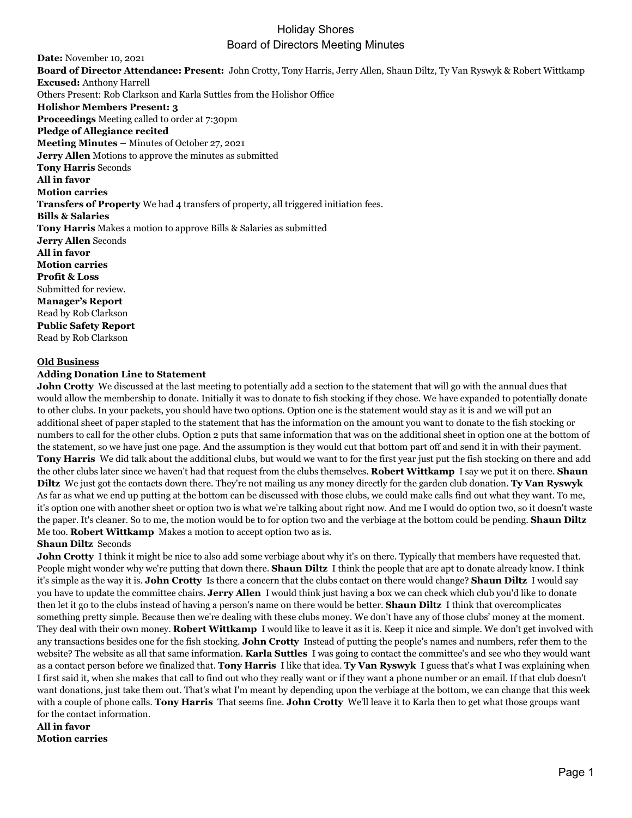**Date:** November 10, 2021 **Board of Director Attendance: Present:** John Crotty, Tony Harris, Jerry Allen, Shaun Diltz, Ty Van Ryswyk & Robert Wittkamp **Excused:** Anthony Harrell Others Present: Rob Clarkson and Karla Suttles from the Holishor Office **Holishor Members Present: 3 Proceedings** Meeting called to order at 7:30pm **Pledge of Allegiance recited Meeting Minutes –** Minutes of October 27, 2021 **Jerry Allen** Motions to approve the minutes as submitted **Tony Harris** Seconds **All in favor Motion carries Transfers of Property** We had 4 transfers of property, all triggered initiation fees. **Bills & Salaries Tony Harris** Makes a motion to approve Bills & Salaries as submitted **Jerry Allen** Seconds **All in favor Motion carries Profit & Loss** Submitted for review. **Manager's Report** Read by Rob Clarkson **Public Safety Report** Read by Rob Clarkson

#### **Old Business**

### **Adding Donation Line to Statement**

**John Crotty** We discussed at the last meeting to potentially add a section to the statement that will go with the annual dues that would allow the membership to donate. Initially it was to donate to fish stocking if they chose. We have expanded to potentially donate to other clubs. In your packets, you should have two options. Option one is the statement would stay as it is and we will put an additional sheet of paper stapled to the statement that has the information on the amount you want to donate to the fish stocking or numbers to call for the other clubs. Option 2 puts that same information that was on the additional sheet in option one at the bottom of the statement, so we have just one page. And the assumption is they would cut that bottom part off and send it in with their payment. **Tony Harris** We did talk about the additional clubs, but would we want to for the first year just put the fish stocking on there and add the other clubs later since we haven't had that request from the clubs themselves. **Robert Wittkamp** I say we put it on there. **Shaun Diltz** We just got the contacts down there. They're not mailing us any money directly for the garden club donation. **Ty Van Ryswyk**  As far as what we end up putting at the bottom can be discussed with those clubs, we could make calls find out what they want. To me, it's option one with another sheet or option two is what we're talking about right now. And me I would do option two, so it doesn't waste the paper. It's cleaner. So to me, the motion would be to for option two and the verbiage at the bottom could be pending. **Shaun Diltz**  Me too. **Robert Wittkamp** Makes a motion to accept option two as is.

#### **Shaun Diltz** Seconds

**John Crotty** I think it might be nice to also add some verbiage about why it's on there. Typically that members have requested that. People might wonder why we're putting that down there. **Shaun Diltz** I think the people that are apt to donate already know. I think it's simple as the way it is. **John Crotty** Is there a concern that the clubs contact on there would change? **Shaun Diltz** I would say you have to update the committee chairs. **Jerry Allen** I would think just having a box we can check which club you'd like to donate then let it go to the clubs instead of having a person's name on there would be better. **Shaun Diltz** I think that overcomplicates something pretty simple. Because then we're dealing with these clubs money. We don't have any of those clubs' money at the moment. They deal with their own money. **Robert Wittkamp** I would like to leave it as it is. Keep it nice and simple. We don't get involved with any transactions besides one for the fish stocking. **John Crotty** Instead of putting the people's names and numbers, refer them to the website? The website as all that same information. **Karla Suttles** I was going to contact the committee's and see who they would want as a contact person before we finalized that. **Tony Harris** I like that idea. **Ty Van Ryswyk** I guess that's what I was explaining when I first said it, when she makes that call to find out who they really want or if they want a phone number or an email. If that club doesn't want donations, just take them out. That's what I'm meant by depending upon the verbiage at the bottom, we can change that this week with a couple of phone calls. **Tony Harris** That seems fine. **John Crotty** We'll leave it to Karla then to get what those groups want for the contact information.

### **All in favor Motion carries**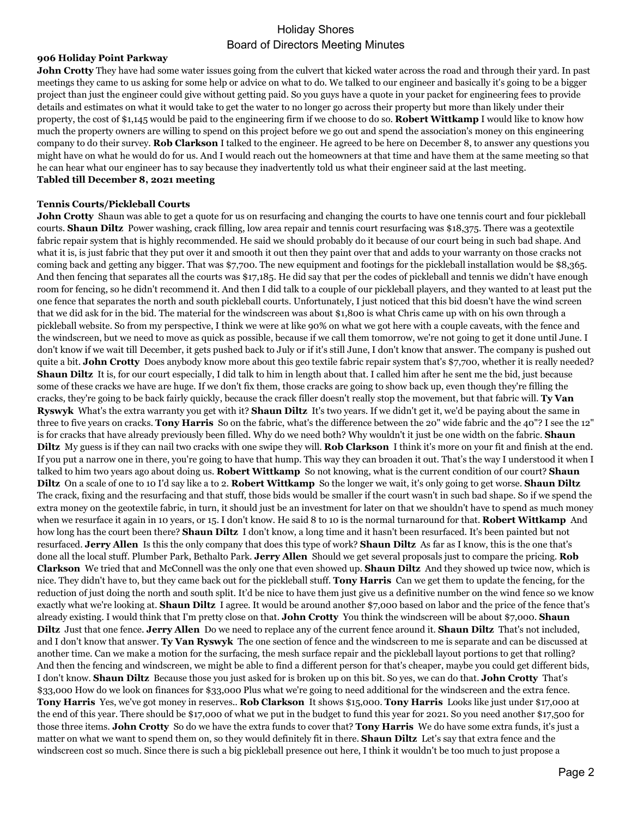### **906 Holiday Point Parkway**

**John Crotty** They have had some water issues going from the culvert that kicked water across the road and through their yard. In past meetings they came to us asking for some help or advice on what to do. We talked to our engineer and basically it's going to be a bigger project than just the engineer could give without getting paid. So you guys have a quote in your packet for engineering fees to provide details and estimates on what it would take to get the water to no longer go across their property but more than likely under their property, the cost of \$1,145 would be paid to the engineering firm if we choose to do so. **Robert Wittkamp** I would like to know how much the property owners are willing to spend on this project before we go out and spend the association's money on this engineering company to do their survey. **Rob Clarkson** I talked to the engineer. He agreed to be here on December 8, to answer any questions you might have on what he would do for us. And I would reach out the homeowners at that time and have them at the same meeting so that he can hear what our engineer has to say because they inadvertently told us what their engineer said at the last meeting. **Tabled till December 8, 2021 meeting**

### **Tennis Courts/Pickleball Courts**

**John Crotty** Shaun was able to get a quote for us on resurfacing and changing the courts to have one tennis court and four pickleball courts. **Shaun Diltz** Power washing, crack filling, low area repair and tennis court resurfacing was \$18,375. There was a geotextile fabric repair system that is highly recommended. He said we should probably do it because of our court being in such bad shape. And what it is, is just fabric that they put over it and smooth it out then they paint over that and adds to your warranty on those cracks not coming back and getting any bigger. That was \$7,700. The new equipment and footings for the pickleball installation would be \$8,365. And then fencing that separates all the courts was \$17,185. He did say that per the codes of pickleball and tennis we didn't have enough room for fencing, so he didn't recommend it. And then I did talk to a couple of our pickleball players, and they wanted to at least put the one fence that separates the north and south pickleball courts. Unfortunately, I just noticed that this bid doesn't have the wind screen that we did ask for in the bid. The material for the windscreen was about \$1,800 is what Chris came up with on his own through a pickleball website. So from my perspective, I think we were at like 90% on what we got here with a couple caveats, with the fence and the windscreen, but we need to move as quick as possible, because if we call them tomorrow, we're not going to get it done until June. I don't know if we wait till December, it gets pushed back to July or if it's still June, I don't know that answer. The company is pushed out quite a bit. **John Crotty** Does anybody know more about this geo textile fabric repair system that's \$7,700, whether it is really needed? **Shaun Diltz** It is, for our court especially, I did talk to him in length about that. I called him after he sent me the bid, just because some of these cracks we have are huge. If we don't fix them, those cracks are going to show back up, even though they're filling the cracks, they're going to be back fairly quickly, because the crack filler doesn't really stop the movement, but that fabric will. **Ty Van Ryswyk** What's the extra warranty you get with it? **Shaun Diltz** It's two years. If we didn't get it, we'd be paying about the same in three to five years on cracks. **Tony Harris** So on the fabric, what's the difference between the 20" wide fabric and the 40"? I see the 12" is for cracks that have already previously been filled. Why do we need both? Why wouldn't it just be one width on the fabric. **Shaun Diltz** My guess is if they can nail two cracks with one swipe they will. **Rob Clarkson** I think it's more on your fit and finish at the end. If you put a narrow one in there, you're going to have that hump. This way they can broaden it out. That's the way I understood it when I talked to him two years ago about doing us. **Robert Wittkamp** So not knowing, what is the current condition of our court? **Shaun Diltz** On a scale of one to 10 I'd say like a to 2. **Robert Wittkamp** So the longer we wait, it's only going to get worse. **Shaun Diltz**  The crack, fixing and the resurfacing and that stuff, those bids would be smaller if the court wasn't in such bad shape. So if we spend the extra money on the geotextile fabric, in turn, it should just be an investment for later on that we shouldn't have to spend as much money when we resurface it again in 10 years, or 15. I don't know. He said 8 to 10 is the normal turnaround for that. **Robert Wittkamp** And how long has the court been there? **Shaun Diltz** I don't know, a long time and it hasn't been resurfaced. It's been painted but not resurfaced. **Jerry Allen** Is this the only company that does this type of work? **Shaun Diltz** As far as I know, this is the one that's done all the local stuff. Plumber Park, Bethalto Park. **Jerry Allen** Should we get several proposals just to compare the pricing. **Rob Clarkson** We tried that and McConnell was the only one that even showed up. **Shaun Diltz** And they showed up twice now, which is nice. They didn't have to, but they came back out for the pickleball stuff. **Tony Harris** Can we get them to update the fencing, for the reduction of just doing the north and south split. It'd be nice to have them just give us a definitive number on the wind fence so we know exactly what we're looking at. **Shaun Diltz** I agree. It would be around another \$7,000 based on labor and the price of the fence that's already existing. I would think that I'm pretty close on that. **John Crotty** You think the windscreen will be about \$7,000. **Shaun Diltz** Just that one fence. **Jerry Allen** Do we need to replace any of the current fence around it. **Shaun Diltz** That's not included, and I don't know that answer. **Ty Van Ryswyk** The one section of fence and the windscreen to me is separate and can be discussed at another time. Can we make a motion for the surfacing, the mesh surface repair and the pickleball layout portions to get that rolling? And then the fencing and windscreen, we might be able to find a different person for that's cheaper, maybe you could get different bids, I don't know. **Shaun Diltz** Because those you just asked for is broken up on this bit. So yes, we can do that. **John Crotty** That's \$33,000 How do we look on finances for \$33,000 Plus what we're going to need additional for the windscreen and the extra fence. **Tony Harris** Yes, we've got money in reserves.. **Rob Clarkson** It shows \$15,000. **Tony Harris** Looks like just under \$17,000 at the end of this year. There should be \$17,000 of what we put in the budget to fund this year for 2021. So you need another \$17,500 for those three items. **John Crotty** So do we have the extra funds to cover that? **Tony Harris** We do have some extra funds, it's just a matter on what we want to spend them on, so they would definitely fit in there. **Shaun Diltz** Let's say that extra fence and the windscreen cost so much. Since there is such a big pickleball presence out here, I think it wouldn't be too much to just propose a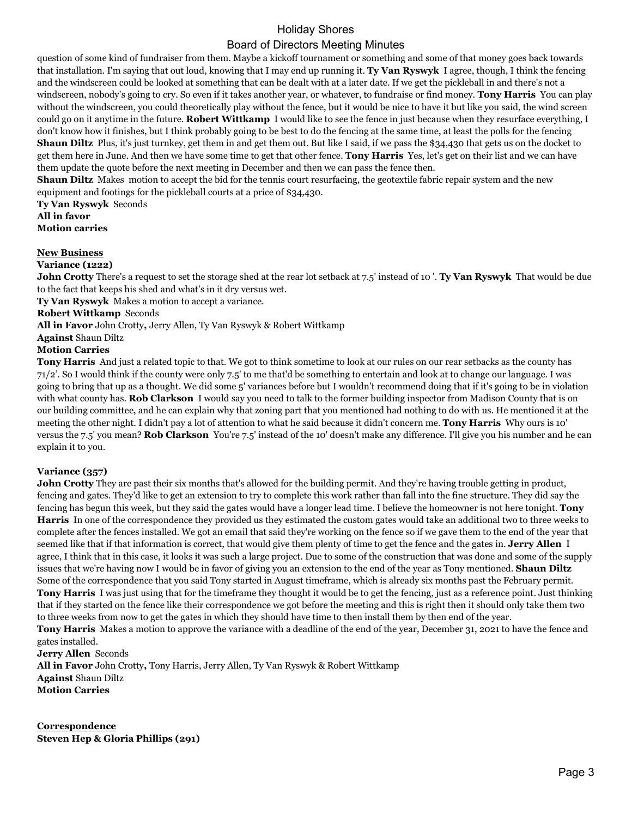question of some kind of fundraiser from them. Maybe a kickoff tournament or something and some of that money goes back towards that installation. I'm saying that out loud, knowing that I may end up running it. **Ty Van Ryswyk** I agree, though, I think the fencing and the windscreen could be looked at something that can be dealt with at a later date. If we get the pickleball in and there's not a windscreen, nobody's going to cry. So even if it takes another year, or whatever, to fundraise or find money. **Tony Harris** You can play without the windscreen, you could theoretically play without the fence, but it would be nice to have it but like you said, the wind screen could go on it anytime in the future. **Robert Wittkamp** I would like to see the fence in just because when they resurface everything, I don't know how it finishes, but I think probably going to be best to do the fencing at the same time, at least the polls for the fencing **Shaun Diltz** Plus, it's just turnkey, get them in and get them out. But like I said, if we pass the \$34,430 that gets us on the docket to get them here in June. And then we have some time to get that other fence. **Tony Harris** Yes, let's get on their list and we can have them update the quote before the next meeting in December and then we can pass the fence then.

**Shaun Diltz** Makes motion to accept the bid for the tennis court resurfacing, the geotextile fabric repair system and the new equipment and footings for the pickleball courts at a price of \$34,430.

**Ty Van Ryswyk** Seconds **All in favor Motion carries**

## **New Business**

### **Variance (1222)**

**John Crotty** There's a request to set the storage shed at the rear lot setback at 7.5' instead of 10 '. **Ty Van Ryswyk** That would be due to the fact that keeps his shed and what's in it dry versus wet.

**Ty Van Ryswyk** Makes a motion to accept a variance.

## **Robert Wittkamp** Seconds

**All in Favor** John Crotty**,** Jerry Allen, Ty Van Ryswyk & Robert Wittkamp

## **Against** Shaun Diltz

# **Motion Carries**

**Tony Harris** And just a related topic to that. We got to think sometime to look at our rules on our rear setbacks as the county has 71/2'. So I would think if the county were only 7.5' to me that'd be something to entertain and look at to change our language. I was going to bring that up as a thought. We did some 5' variances before but I wouldn't recommend doing that if it's going to be in violation with what county has. **Rob Clarkson** I would say you need to talk to the former building inspector from Madison County that is on our building committee, and he can explain why that zoning part that you mentioned had nothing to do with us. He mentioned it at the meeting the other night. I didn't pay a lot of attention to what he said because it didn't concern me. **Tony Harris** Why ours is 10' versus the 7.5' you mean? **Rob Clarkson** You're 7.5' instead of the 10' doesn't make any difference. I'll give you his number and he can explain it to you.

## **Variance (357)**

**John Crotty** They are past their six months that's allowed for the building permit. And they're having trouble getting in product, fencing and gates. They'd like to get an extension to try to complete this work rather than fall into the fine structure. They did say the fencing has begun this week, but they said the gates would have a longer lead time. I believe the homeowner is not here tonight. **Tony Harris** In one of the correspondence they provided us they estimated the custom gates would take an additional two to three weeks to complete after the fences installed. We got an email that said they're working on the fence so if we gave them to the end of the year that seemed like that if that information is correct, that would give them plenty of time to get the fence and the gates in. **Jerry Allen** I agree, I think that in this case, it looks it was such a large project. Due to some of the construction that was done and some of the supply issues that we're having now I would be in favor of giving you an extension to the end of the year as Tony mentioned. **Shaun Diltz**  Some of the correspondence that you said Tony started in August timeframe, which is already six months past the February permit. **Tony Harris** I was just using that for the timeframe they thought it would be to get the fencing, just as a reference point. Just thinking that if they started on the fence like their correspondence we got before the meeting and this is right then it should only take them two to three weeks from now to get the gates in which they should have time to then install them by then end of the year.

**Tony Harris** Makes a motion to approve the variance with a deadline of the end of the year, December 31, 2021 to have the fence and gates installed.

**Jerry Allen** Seconds **All in Favor** John Crotty**,** Tony Harris, Jerry Allen, Ty Van Ryswyk & Robert Wittkamp **Against** Shaun Diltz **Motion Carries**

**Correspondence Steven Hep & Gloria Phillips (291)**